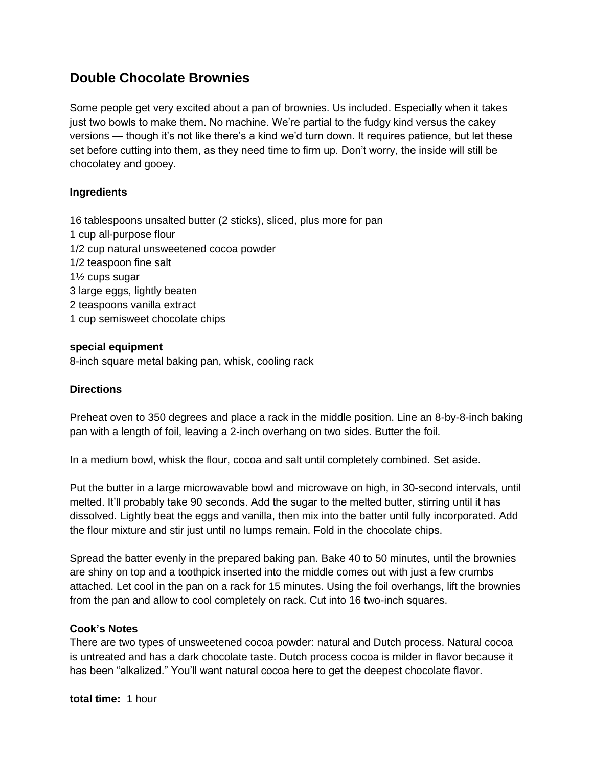# **Double Chocolate Brownies**

Some people get very excited about a pan of brownies. Us included. Especially when it takes just two bowls to make them. No machine. We're partial to the fudgy kind versus the cakey versions — though it's not like there's a kind we'd turn down. It requires patience, but let these set before cutting into them, as they need time to firm up. Don't worry, the inside will still be chocolatey and gooey.

## **Ingredients**

16 tablespoons unsalted butter (2 sticks), sliced, plus more for pan 1 cup all-purpose flour 1/2 cup natural unsweetened cocoa powder 1/2 teaspoon fine salt 1½ cups sugar 3 large eggs, lightly beaten 2 teaspoons vanilla extract 1 cup semisweet chocolate chips

### **special equipment**

8-inch square metal baking pan, whisk, cooling rack

### **Directions**

Preheat oven to 350 degrees and place a rack in the middle position. Line an 8-by-8-inch baking pan with a length of foil, leaving a 2-inch overhang on two sides. Butter the foil.

In a medium bowl, whisk the flour, cocoa and salt until completely combined. Set aside.

Put the butter in a large microwavable bowl and microwave on high, in 30-second intervals, until melted. It'll probably take 90 seconds. Add the sugar to the melted butter, stirring until it has dissolved. Lightly beat the eggs and vanilla, then mix into the batter until fully incorporated. Add the flour mixture and stir just until no lumps remain. Fold in the chocolate chips.

Spread the batter evenly in the prepared baking pan. Bake 40 to 50 minutes, until the brownies are shiny on top and a toothpick inserted into the middle comes out with just a few crumbs attached. Let cool in the pan on a rack for 15 minutes. Using the foil overhangs, lift the brownies from the pan and allow to cool completely on rack. Cut into 16 two-inch squares.

#### **Cook's Notes**

There are two types of unsweetened cocoa powder: natural and Dutch process. Natural cocoa is untreated and has a dark chocolate taste. Dutch process cocoa is milder in flavor because it has been "alkalized." You'll want natural cocoa here to get the deepest chocolate flavor.

**total time:** 1 hour